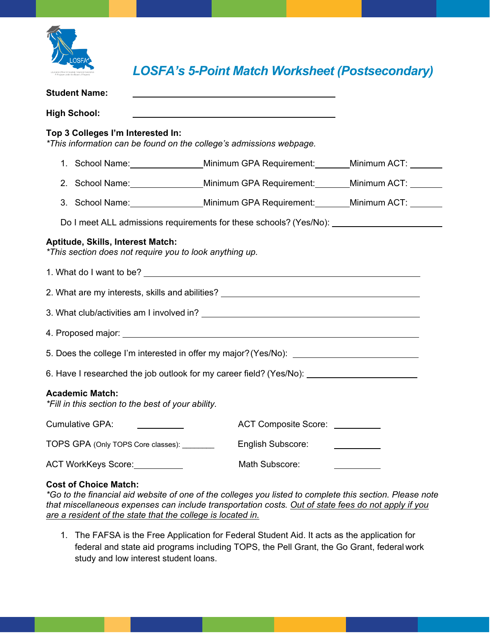

*LOSFA's 5-Point Match Worksheet (Postsecondary)*

| <b>Student Name:</b>                                                                         |                                                                     |                                |                                                                                                                                      |  |
|----------------------------------------------------------------------------------------------|---------------------------------------------------------------------|--------------------------------|--------------------------------------------------------------------------------------------------------------------------------------|--|
| <b>High School:</b>                                                                          |                                                                     |                                |                                                                                                                                      |  |
| Top 3 Colleges I'm Interested In:                                                            | *This information can be found on the college's admissions webpage. |                                |                                                                                                                                      |  |
|                                                                                              |                                                                     |                                | 1. School Name: Minimum GPA Requirement: Minimum ACT: 1996                                                                           |  |
|                                                                                              |                                                                     |                                | 2. School Name: Minimum GPA Requirement: Minimum ACT: Ninimum ACT:                                                                   |  |
|                                                                                              |                                                                     |                                | 3. School Name: Minimum GPA Requirement: Minimum ACT: Ninimum ACT:                                                                   |  |
| Do I meet ALL admissions requirements for these schools? (Yes/No): ______________            |                                                                     |                                |                                                                                                                                      |  |
| Aptitude, Skills, Interest Match:<br>*This section does not require you to look anything up. |                                                                     |                                |                                                                                                                                      |  |
| 1. What do I want to be?                                                                     |                                                                     |                                |                                                                                                                                      |  |
| 2. What are my interests, skills and abilities? _________________________________            |                                                                     |                                |                                                                                                                                      |  |
|                                                                                              |                                                                     |                                |                                                                                                                                      |  |
|                                                                                              |                                                                     |                                |                                                                                                                                      |  |
|                                                                                              |                                                                     |                                |                                                                                                                                      |  |
| 6. Have I researched the job outlook for my career field? (Yes/No): _____________            |                                                                     |                                |                                                                                                                                      |  |
| <b>Academic Match:</b><br>*Fill in this section to the best of your ability.                 |                                                                     |                                |                                                                                                                                      |  |
| <b>Cumulative GPA:</b>                                                                       |                                                                     | ACT Composite Score: _________ |                                                                                                                                      |  |
| TOPS GPA (Only TOPS Core classes): ________                                                  |                                                                     | English Subscore:              | $\begin{array}{c} \begin{array}{c} \begin{array}{c} \begin{array}{c} \end{array} \\ \end{array} \end{array} \end{array} \end{array}$ |  |
| ACT WorkKeys Score: 2008                                                                     |                                                                     | Math Subscore:                 |                                                                                                                                      |  |
| <b>Cost of Choice Match:</b>                                                                 |                                                                     |                                |                                                                                                                                      |  |

*\*Go to the financial aid website of one of the colleges you listed to complete this section. Please note that miscellaneous expenses can include transportation costs. Out of state fees do not apply if you are a resident of the state that the college is located in.*

1. The FAFSA is the Free Application for Federal Student Aid. It acts as the application for federal and state aid programs including TOPS, the Pell Grant, the Go Grant, federal work study and low interest student loans.